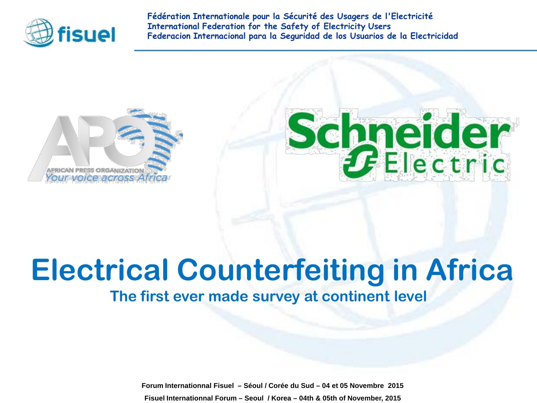

**Fédération Internationale pour la Sécurité des Usagers de l'Electricité International Federation for the Safety of Electricity Users Federacion Internacional para la Seguridad de los Usuarios de la Electricidad**





## **Electrical Counterfeiting in Africa**

#### **The first ever made survey at continent level**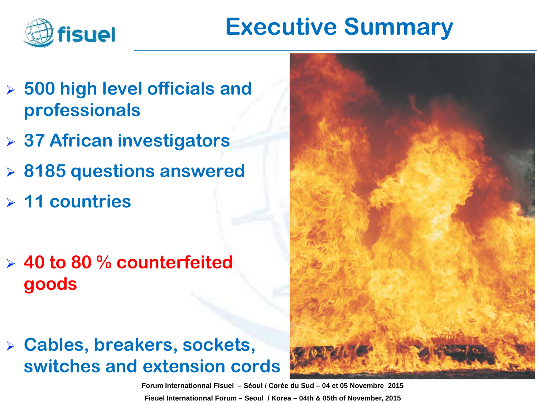

## **Executive Summary**

- **500 high level officials and professionals**
- **37 African investigators**
- **8185 questions answered**
- **11 countries**
- **40 to 80 % counterfeited goods**
- **Cables, breakers, sockets, switches and extension cords**

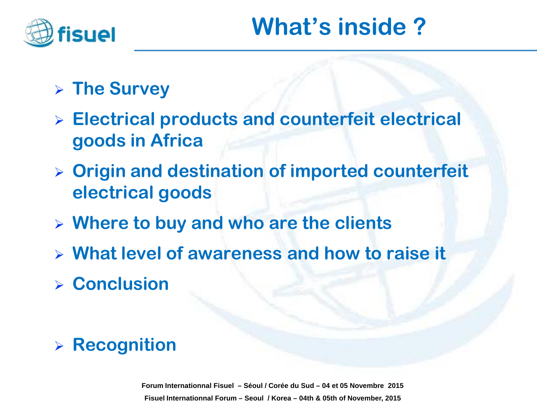

## **The Survey**

- **Electrical products and counterfeit electrical goods in Africa**
- **Origin and destination of imported counterfeit electrical goods**
- **Where to buy and who are the clients**
- **What level of awareness and how to raise it**
- **Conclusion**

## **Recognition**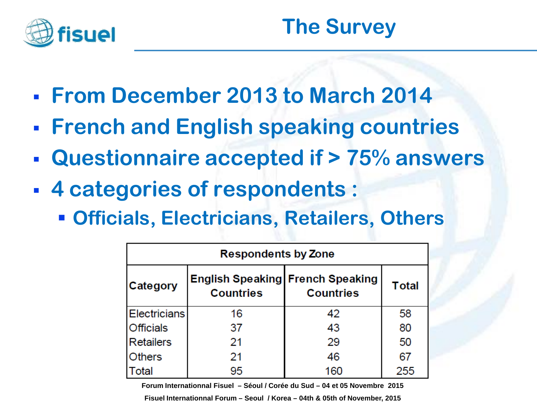

- **From December 2013 to March 2014**
- **French and English speaking countries**
- **Questionnaire accepted if > 75% answers**
- **4 categories of respondents :**
	- **Officials, Electricians, Retailers, Others**

| <b>Respondents by Zone</b> |                                                             |                  |              |  |  |
|----------------------------|-------------------------------------------------------------|------------------|--------------|--|--|
| Category                   | <b>English Speaking French Speaking</b><br><b>Countries</b> | <b>Countries</b> | <b>Total</b> |  |  |
| <b>Electricians</b>        | 16                                                          | 42               | 58           |  |  |
| <b>Officials</b>           | 37                                                          | 43               | 80           |  |  |
| <b>Retailers</b>           | 21                                                          | 29               | 50           |  |  |
| <b>Others</b>              | 21                                                          | 46               | 67           |  |  |
| Total                      | 95                                                          | 160              | 255          |  |  |

**4 Forum Internationnal Fisuel – Séoul / Corée du Sud – 04 et 05 Novembre 2015**

**Fisuel Internationnal Forum – Seoul / Korea – 04th & 05th of November, 2015**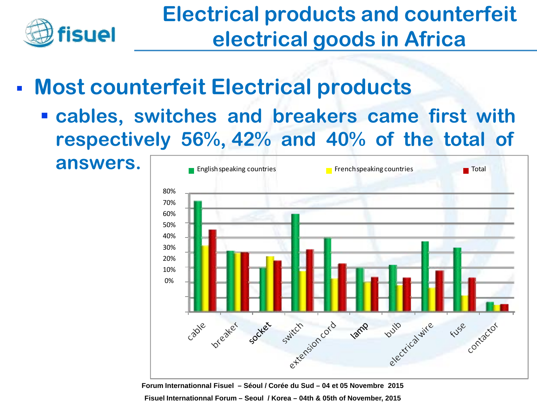

- **Most counterfeit Electrical products**
	- **cables, switches and breakers came first with respectively 56%, 42% and 40% of the total of**

**answers.**

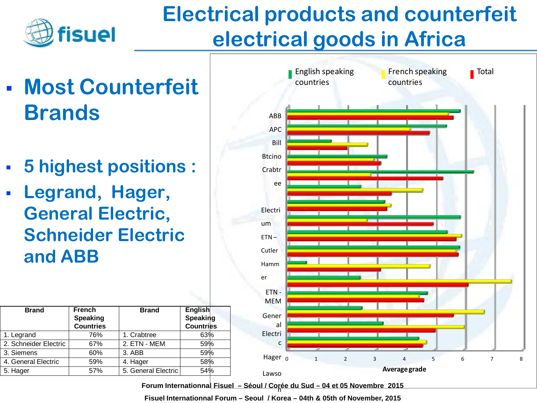

- **Most Counterfeit Brands**
- **5 highest positions :**
- **Legrand, Hager, General Electric, Schneider Electric and ABB**

| <b>Brand</b>          | <b>French</b><br><b>Speaking</b><br><b>Countries</b> | <b>Brand</b>        | English<br>Speaking<br><b>Countries</b> |
|-----------------------|------------------------------------------------------|---------------------|-----------------------------------------|
| 1. Legrand            | 76%                                                  | 1. Crabtree         | 63%                                     |
| 2. Schneider Electric | 67%                                                  | 2. ETN - MEM        | 59%                                     |
| 3. Siemens            | 60%                                                  | 3. ABB              | 59%                                     |
| 4. General Electric   | 59%                                                  | 4. Hager            | 58%                                     |
| 5. Hager              | 57%                                                  | 5. General Electric | 54%                                     |



Forum Internationnal Fisuel - Séoul / Corée du Sud - 04 et 05 Novembre 2015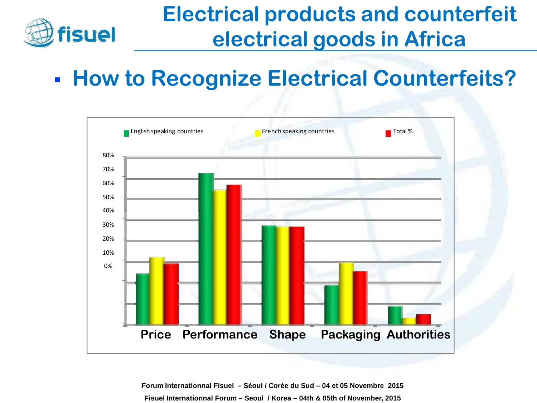

## **- How to Recognize Electrical Counterfeits?**

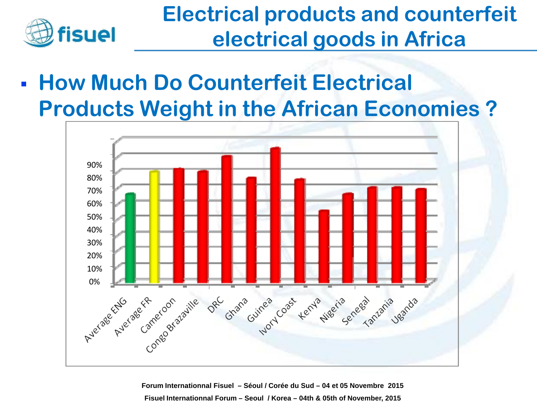

 **How Much Do Counterfeit Electrical Products Weight in the African Economies ?**

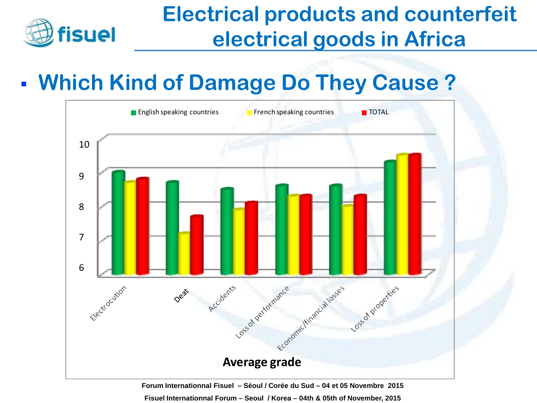

## **Which Kind of Damage Do They Cause ?**

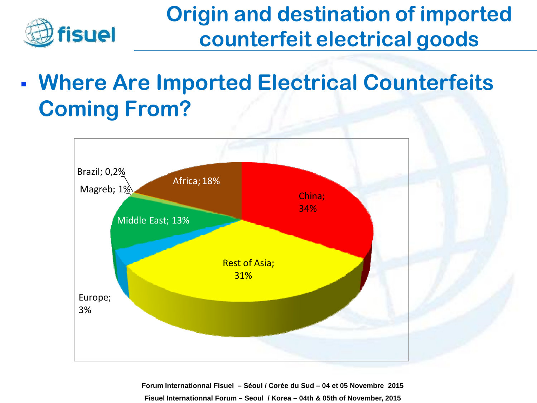

## **Origin and destination of imported counterfeit electrical goods**

 **Where Are Imported Electrical Counterfeits Coming From?**

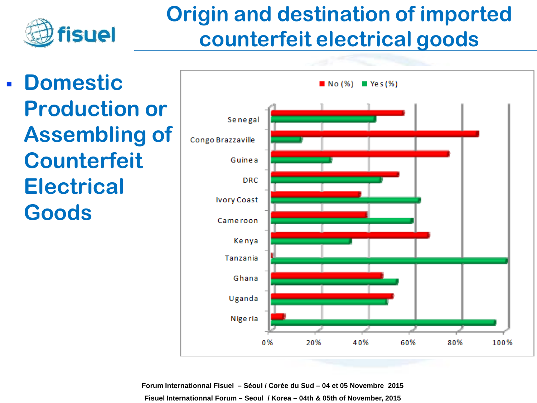

## **Origin and destination of imported counterfeit electrical goods**

 **Domestic Production or Assembling of Counterfeit Electrical Goods**

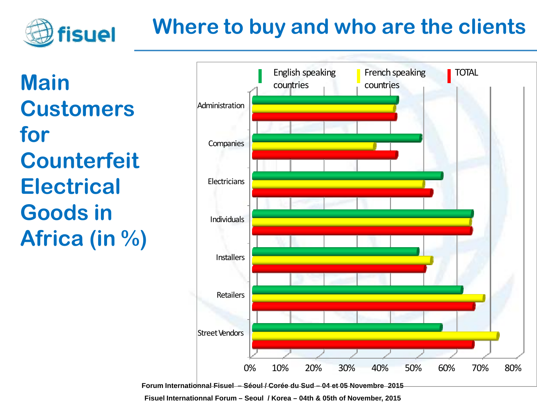## **Where to buy and who are the clients**

**Main Customers for Counterfeit Electrical Goods in Africa (in %)**

fisuel

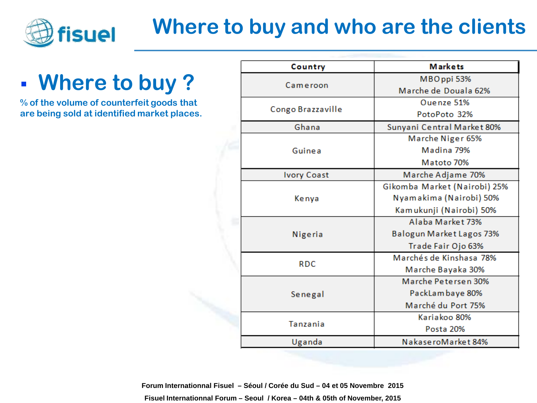

## **Where to buy and who are the clients**

## **Where to buy ?**

**% of the volume of counterfeit goods that are being sold at identified market places.**

|  | Country            | <b>Markets</b>               |  |
|--|--------------------|------------------------------|--|
|  | Cameroon           | MBOppi 53%                   |  |
|  |                    | Marche de Douala 62%         |  |
|  | Congo Brazzaville  | Ouenze 51%                   |  |
|  |                    | PotoPoto 32%                 |  |
|  | Ghana              | Sunyani Central Market 80%   |  |
|  |                    | Marche Niger 65%             |  |
|  | Guinea             | Madina 79%                   |  |
|  |                    | Matoto 70%                   |  |
|  | <b>Ivory Coast</b> | Marche Adjame 70%            |  |
|  |                    | Gikomba Market (Nairobi) 25% |  |
|  | Kenya              | Nyamakima (Nairobi) 50%      |  |
|  |                    | Kamukunji (Nairobi) 50%      |  |
|  | Nigeria            | Alaba Market 73%             |  |
|  |                    | Balogun Market Lagos 73%     |  |
|  |                    | Trade Fair Ojo 63%           |  |
|  | <b>RDC</b>         | Marchés de Kinshasa 78%      |  |
|  |                    | Marche Bayaka 30%            |  |
|  |                    | Marche Petersen 30%          |  |
|  | Senegal            | PackLambaye 80%              |  |
|  |                    | Marché du Port 75%           |  |
|  | Tanzania           | Kariakoo 80%                 |  |
|  |                    | Posta 20%                    |  |
|  | Uganda             | NakaseroMarket 84%           |  |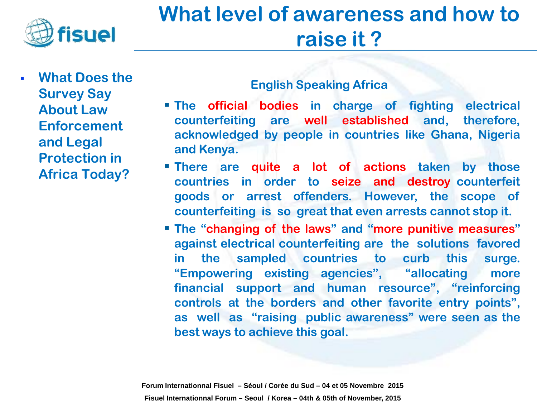

 **What Does the Survey Say About Law Enforcement and Legal Protection in Africa Today?**

#### **English Speaking Africa**

- **The official bodies in charge of fighting electrical counterfeiting are well established and, therefore, acknowledged by people in countries like Ghana, Nigeria and Kenya.**
- **There are quite a lot of actions taken by those countries in order to seize and destroy counterfeit goods or arrest offenders. However, the scope of counterfeiting is so great that even arrests cannot stop it.**
- **The "changing of the laws" and "more punitive measures" against electrical counterfeiting are the solutions favored in the sampled countries to curb this surge. "Empowering existing agencies", "allocating more financial support and human resource", "reinforcing controls at the borders and other favorite entry points", as well as "raising public awareness" were seen as the best ways to achieve this goal.**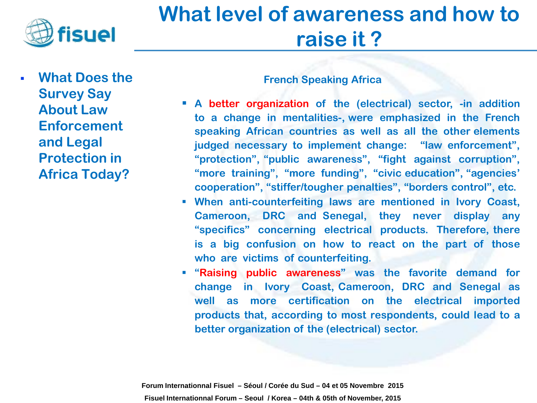

 **What Does the Survey Say About Law Enforcement and Legal Protection in Africa Today?**

#### **French Speaking Africa**

- **A better organization of the (electrical) sector, -in addition to a change in mentalities-, were emphasized in the French speaking African countries as well as all the other elements judged necessary to implement change: "law enforcement", "protection", "public awareness", "fight against corruption", "more training", "more funding", "civic education", "agencies' cooperation", "stiffer/tougher penalties", "borders control", etc.**
- **When anti-counterfeiting laws are mentioned in Ivory Coast, Cameroon, DRC and Senegal, they never display any "specifics" concerning electrical products. Therefore, there is a big confusion on how to react on the part of those who are victims of counterfeiting.**
- **"Raising public awareness" was the favorite demand for change in Ivory Coast, Cameroon, DRC and Senegal as well as more certification on the electrical imported products that, according to most respondents, could lead to a better organization of the (electrical) sector.**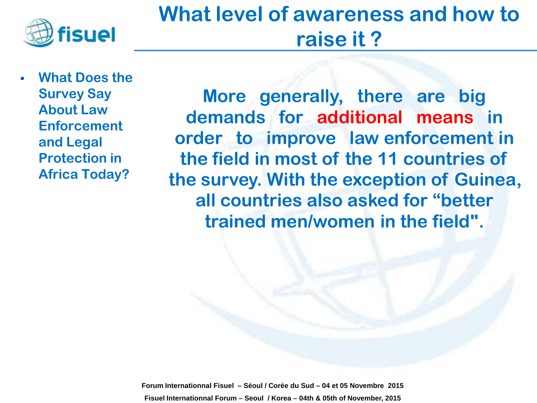

 **What Does the Survey Say About Law Enforcement and Legal Protection in Africa Today?**

**More generally, there are big demands for additional means in order to improve law enforcement in the field in most of the 11 countries of the survey. With the exception of Guinea, all countries also asked for "better trained men/women in the field".**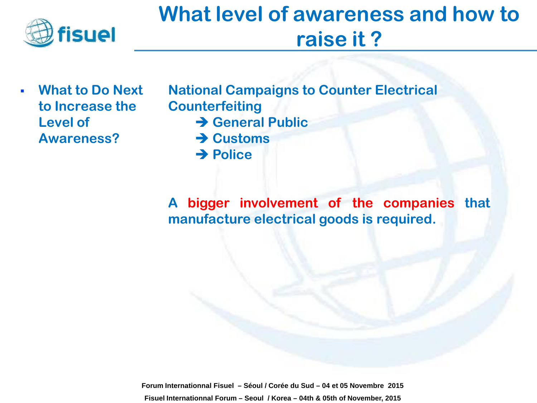

 **What to Do Next to Increase the Level of Awareness?**

**National Campaigns to Counter Electrical Counterfeiting B** General Public **→ Customs → Police** 

**A bigger involvement of the companies that manufacture electrical goods is required.**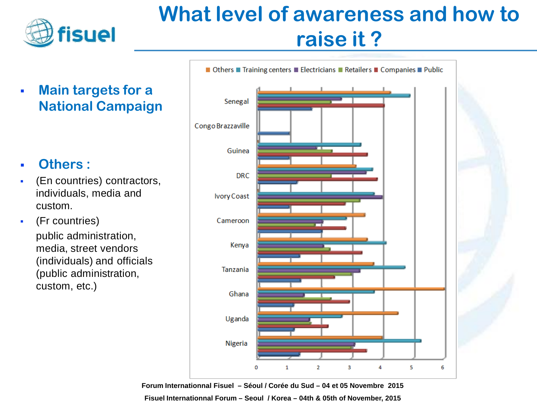

 **Main targets for a National Campaign** 

#### **Others :**

- (En countries) contractors, individuals, media and custom.
- (Fr countries) public administration, media, street vendors (individuals) and officials (public administration, custom, etc.)

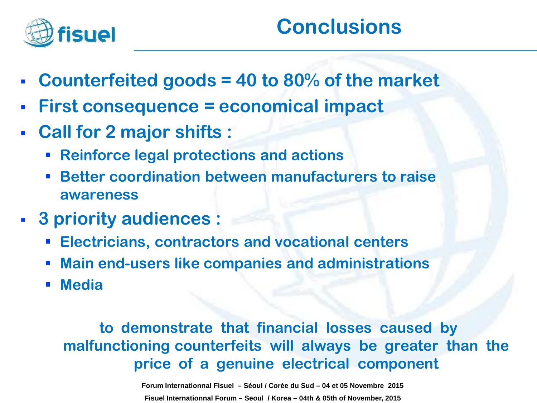

- **Counterfeited goods = 40 to 80% of the market**
- **First consequence = economical impact**
- **Call for 2 major shifts :**
	- **Reinforce legal protections and actions**
	- **Better coordination between manufacturers to raise awareness**
- **3 priority audiences :** 
	- **Electricians, contractors and vocational centers**
	- **Main end-users like companies and administrations**
	- **Media**

#### **to demonstrate that financial losses caused by malfunctioning counterfeits will always be greater than the price of a genuine electrical component**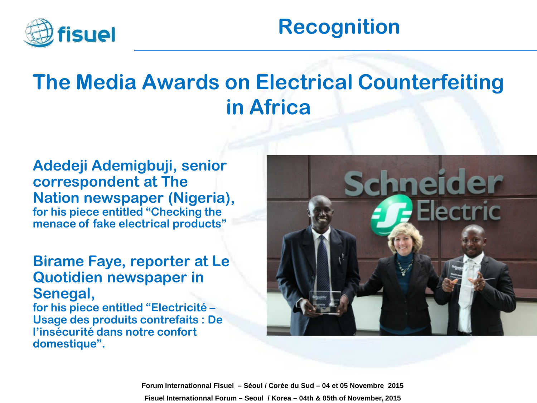

## **Recognition**

## **The Media Awards on Electrical Counterfeiting in Africa**

**Adedeji Ademigbuji, senior correspondent at The Nation newspaper (Nigeria), for his piece entitled "Checking the menace of fake electrical products"** 

#### **Birame Faye, reporter at Le Quotidien newspaper in Senegal,**

**for his piece entitled "Electricité – Usage des produits contrefaits : De l'insécurité dans notre confort domestique".**

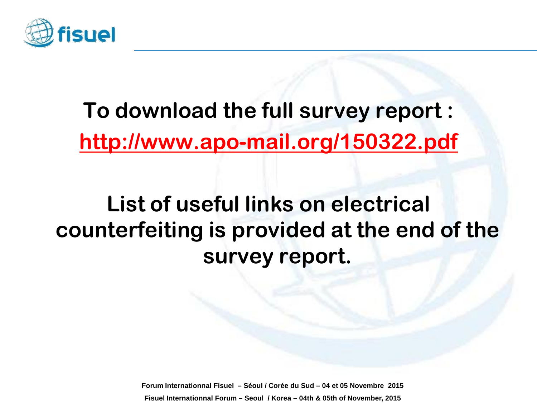

## **To download the full survey report : <http://www.apo-mail.org/150322.pdf>**

## **List of useful links on electrical counterfeiting is provided at the end of the survey report.**